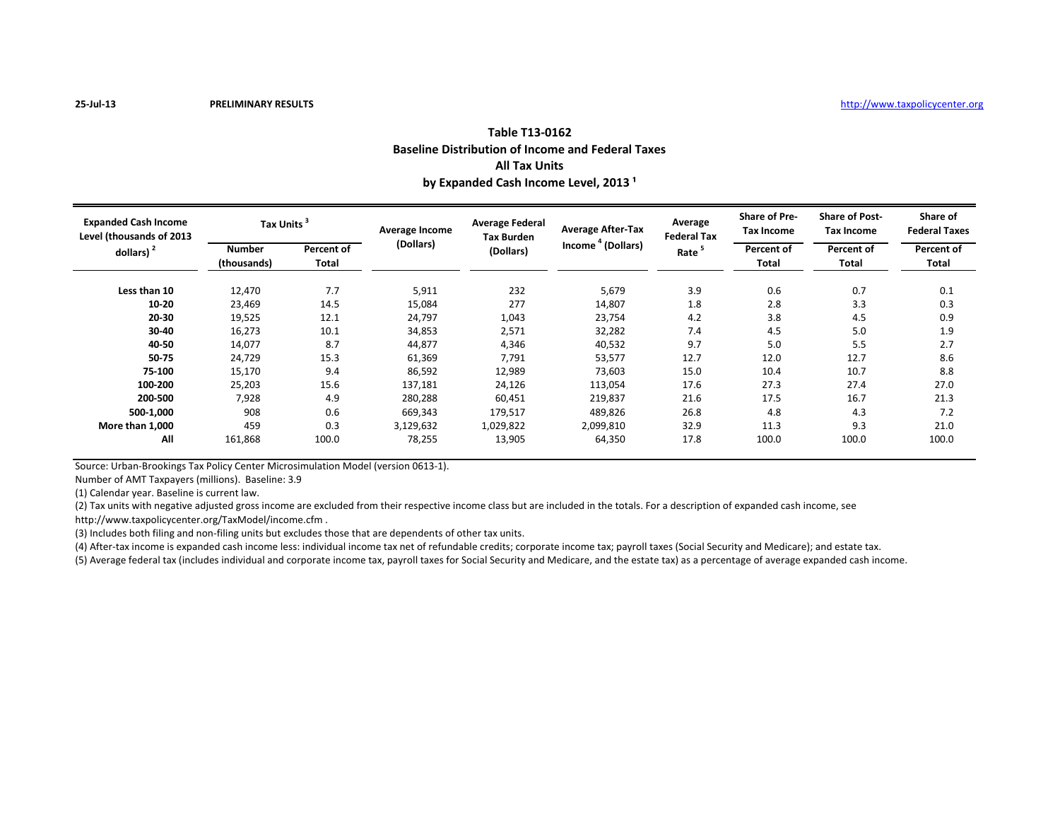| Table T13-0162                                           |
|----------------------------------------------------------|
| <b>Baseline Distribution of Income and Federal Taxes</b> |
| <b>All Tax Units</b>                                     |
| by Expanded Cash Income Level, 2013 <sup>1</sup>         |

| <b>Expanded Cash Income</b><br>Level (thousands of 2013<br>dollars) $2$ | <b>Tax Units</b>      |                     | Average Income | <b>Average Federal</b><br><b>Tax Burden</b> | <b>Average After-Tax</b>      | Average<br><b>Federal Tax</b> | <b>Share of Pre-</b><br><b>Tax Income</b> | <b>Share of Post-</b><br><b>Tax Income</b> | Share of<br><b>Federal Taxes</b> |
|-------------------------------------------------------------------------|-----------------------|---------------------|----------------|---------------------------------------------|-------------------------------|-------------------------------|-------------------------------------------|--------------------------------------------|----------------------------------|
|                                                                         | Number<br>(thousands) | Percent of<br>Total | (Dollars)      | (Dollars)                                   | Income <sup>4</sup> (Dollars) | Rate <sup>5</sup>             | Percent of<br>Total                       | Percent of<br>Total                        | Percent of<br>Total              |
| Less than 10                                                            | 12,470                | 7.7                 | 5,911          | 232                                         | 5,679                         | 3.9                           | 0.6                                       | 0.7                                        | 0.1                              |
| $10 - 20$                                                               | 23,469                | 14.5                | 15,084         | 277                                         | 14,807                        | 1.8                           | 2.8                                       | 3.3                                        | 0.3                              |
| 20-30                                                                   | 19,525                | 12.1                | 24,797         | 1,043                                       | 23,754                        | 4.2                           | 3.8                                       | 4.5                                        | 0.9                              |
| 30-40                                                                   | 16,273                | 10.1                | 34,853         | 2,571                                       | 32,282                        | 7.4                           | 4.5                                       | 5.0                                        | 1.9                              |
| 40-50                                                                   | 14,077                | 8.7                 | 44,877         | 4,346                                       | 40,532                        | 9.7                           | 5.0                                       | 5.5                                        | 2.7                              |
| 50-75                                                                   | 24,729                | 15.3                | 61,369         | 7,791                                       | 53,577                        | 12.7                          | 12.0                                      | 12.7                                       | 8.6                              |
| 75-100                                                                  | 15,170                | 9.4                 | 86,592         | 12,989                                      | 73,603                        | 15.0                          | 10.4                                      | 10.7                                       | 8.8                              |
| 100-200                                                                 | 25,203                | 15.6                | 137,181        | 24,126                                      | 113,054                       | 17.6                          | 27.3                                      | 27.4                                       | 27.0                             |
| 200-500                                                                 | 7,928                 | 4.9                 | 280,288        | 60.451                                      | 219,837                       | 21.6                          | 17.5                                      | 16.7                                       | 21.3                             |
| 500-1,000                                                               | 908                   | 0.6                 | 669,343        | 179,517                                     | 489,826                       | 26.8                          | 4.8                                       | 4.3                                        | 7.2                              |
| More than 1,000                                                         | 459                   | 0.3                 | 3,129,632      | 1,029,822                                   | 2,099,810                     | 32.9                          | 11.3                                      | 9.3                                        | 21.0                             |
| All                                                                     | 161,868               | 100.0               | 78,255         | 13,905                                      | 64,350                        | 17.8                          | 100.0                                     | 100.0                                      | 100.0                            |

Source: Urban-Brookings Tax Policy Center Microsimulation Model (version 0613-1).

Number of AMT Taxpayers (millions). Baseline: 3.9

(1) Calendar year. Baseline is current law.

(2) Tax units with negative adjusted gross income are excluded from their respective income class but are included in the totals. For a description of expanded cash income, see

http://www.taxpolicycenter.org/TaxModel/income.cfm .

(3) Includes both filing and non-filing units but excludes those that are dependents of other tax units.

(4) After-tax income is expanded cash income less: individual income tax net of refundable credits; corporate income tax; payroll taxes (Social Security and Medicare); and estate tax.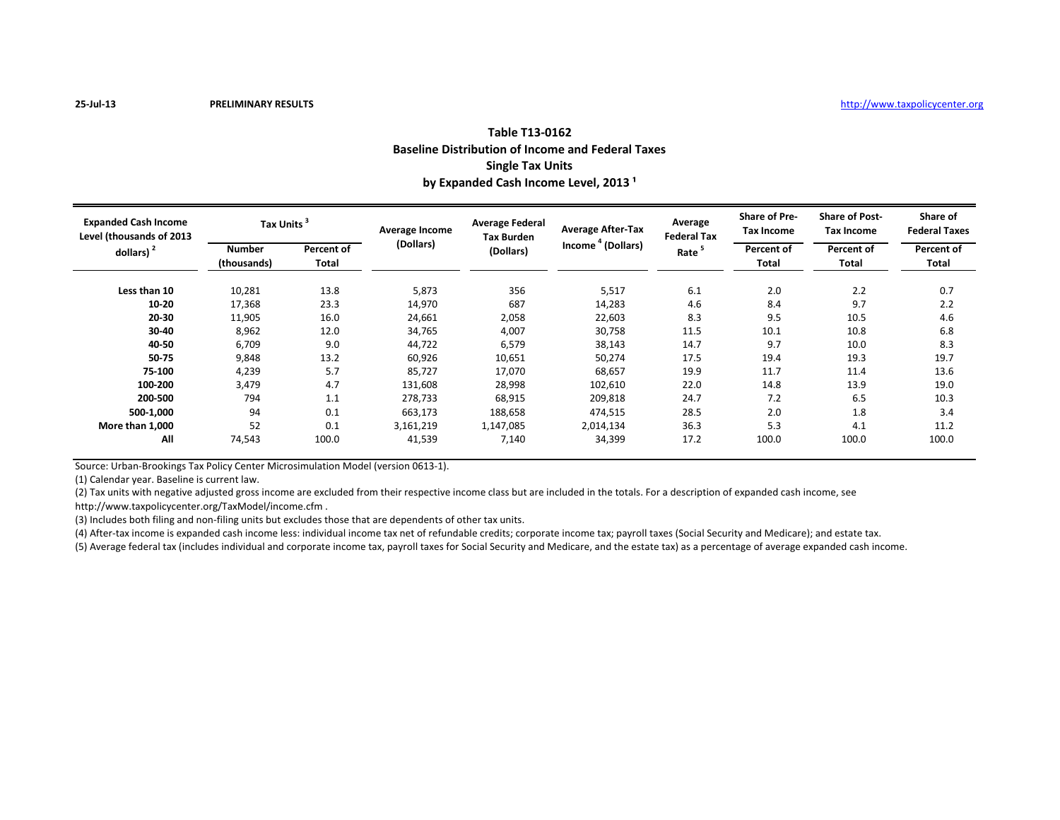## **Table T13-0162 Baseline Distribution of Income and Federal Taxes Single Tax Units** by Expanded Cash Income Level, 2013<sup>1</sup>

| <b>Expanded Cash Income</b><br>Level (thousands of 2013 | <b>Tax Units</b> |            | Average Income | <b>Average Federal</b><br><b>Tax Burden</b> | <b>Average After-Tax</b>      | Average<br><b>Federal Tax</b> | <b>Share of Pre-</b><br>Tax Income | <b>Share of Post-</b><br><b>Tax Income</b> | Share of<br><b>Federal Taxes</b> |
|---------------------------------------------------------|------------------|------------|----------------|---------------------------------------------|-------------------------------|-------------------------------|------------------------------------|--------------------------------------------|----------------------------------|
| dollars) $2$                                            | <b>Number</b>    | Percent of | (Dollars)      | (Dollars)                                   | Income <sup>4</sup> (Dollars) | Rate <sup>5</sup>             | Percent of                         | Percent of                                 | Percent of                       |
|                                                         | (thousands)      | Total      |                |                                             |                               |                               | Total                              | Total                                      | Total                            |
| Less than 10                                            | 10,281           | 13.8       | 5,873          | 356                                         | 5,517                         | 6.1                           | 2.0                                | 2.2                                        | 0.7                              |
| 10-20                                                   | 17,368           | 23.3       | 14,970         | 687                                         | 14,283                        | 4.6                           | 8.4                                | 9.7                                        | 2.2                              |
| 20-30                                                   | 11,905           | 16.0       | 24,661         | 2,058                                       | 22,603                        | 8.3                           | 9.5                                | 10.5                                       | 4.6                              |
| 30-40                                                   | 8,962            | 12.0       | 34,765         | 4,007                                       | 30,758                        | 11.5                          | 10.1                               | 10.8                                       | 6.8                              |
| 40-50                                                   | 6,709            | 9.0        | 44,722         | 6,579                                       | 38,143                        | 14.7                          | 9.7                                | 10.0                                       | 8.3                              |
| 50-75                                                   | 9,848            | 13.2       | 60,926         | 10,651                                      | 50,274                        | 17.5                          | 19.4                               | 19.3                                       | 19.7                             |
| 75-100                                                  | 4,239            | 5.7        | 85,727         | 17,070                                      | 68,657                        | 19.9                          | 11.7                               | 11.4                                       | 13.6                             |
| 100-200                                                 | 3,479            | 4.7        | 131,608        | 28,998                                      | 102,610                       | 22.0                          | 14.8                               | 13.9                                       | 19.0                             |
| 200-500                                                 | 794              | 1.1        | 278,733        | 68,915                                      | 209,818                       | 24.7                          | 7.2                                | 6.5                                        | 10.3                             |
| 500-1,000                                               | 94               | 0.1        | 663,173        | 188,658                                     | 474,515                       | 28.5                          | 2.0                                | 1.8                                        | 3.4                              |
| More than 1,000                                         | 52               | 0.1        | 3,161,219      | 1,147,085                                   | 2,014,134                     | 36.3                          | 5.3                                | 4.1                                        | 11.2                             |
| All                                                     | 74,543           | 100.0      | 41,539         | 7,140                                       | 34,399                        | 17.2                          | 100.0                              | 100.0                                      | 100.0                            |

Source: Urban-Brookings Tax Policy Center Microsimulation Model (version 0613-1).

(1) Calendar year. Baseline is current law.

(2) Tax units with negative adjusted gross income are excluded from their respective income class but are included in the totals. For a description of expanded cash income, see http://www.taxpolicycenter.org/TaxModel/income.cfm .

(3) Includes both filing and non-filing units but excludes those that are dependents of other tax units.

(4) After-tax income is expanded cash income less: individual income tax net of refundable credits; corporate income tax; payroll taxes (Social Security and Medicare); and estate tax.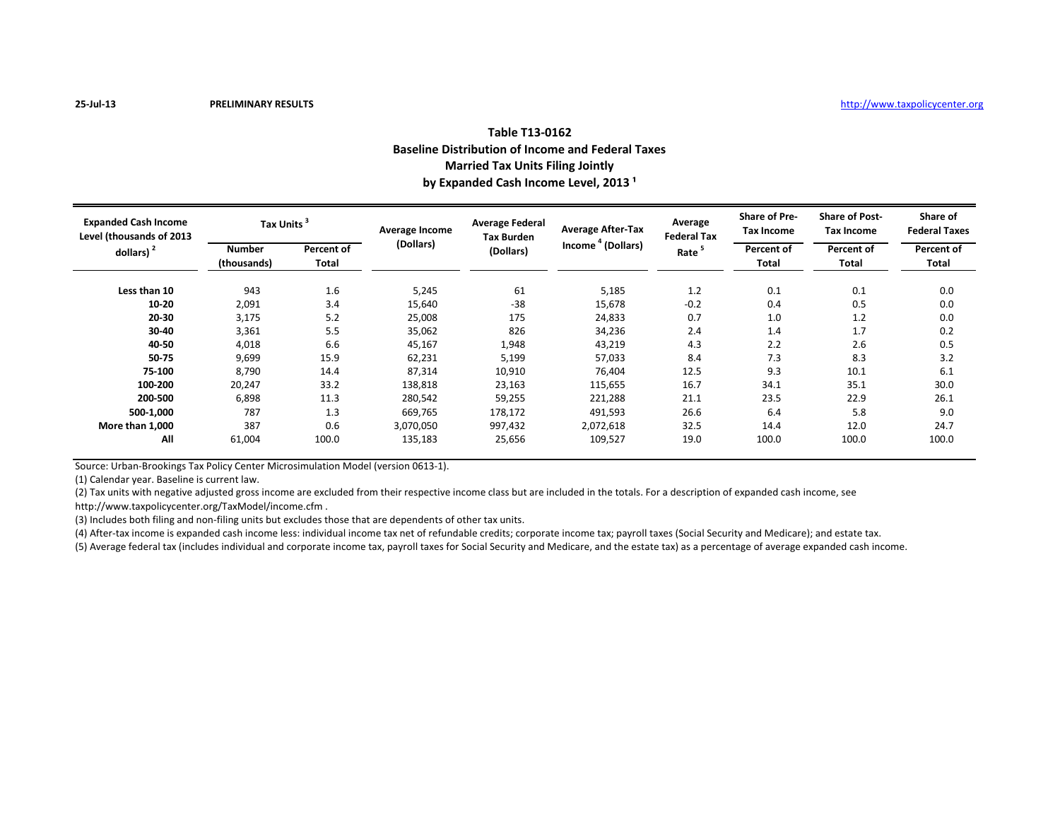| Table T13-0162                                           |  |  |  |  |  |  |  |
|----------------------------------------------------------|--|--|--|--|--|--|--|
| <b>Baseline Distribution of Income and Federal Taxes</b> |  |  |  |  |  |  |  |
| <b>Married Tax Units Filing Jointly</b>                  |  |  |  |  |  |  |  |
| by Expanded Cash Income Level, 2013 <sup>1</sup>         |  |  |  |  |  |  |  |

| <b>Expanded Cash Income</b><br>Level (thousands of 2013<br>dollars) $2$ | <b>Tax Units</b>      |                     | Average Income | <b>Average Federal</b><br><b>Tax Burden</b> | <b>Average After-Tax</b>      | Average<br><b>Federal Tax</b> | <b>Share of Pre-</b><br>Tax Income | <b>Share of Post-</b><br>Tax Income | Share of<br><b>Federal Taxes</b> |
|-------------------------------------------------------------------------|-----------------------|---------------------|----------------|---------------------------------------------|-------------------------------|-------------------------------|------------------------------------|-------------------------------------|----------------------------------|
|                                                                         | Number<br>(thousands) | Percent of<br>Total | (Dollars)      | (Dollars)                                   | Income <sup>4</sup> (Dollars) | Rate <sup>5</sup>             | Percent of<br>Total                | Percent of<br>Total                 | Percent of<br>Total              |
| Less than 10                                                            | 943                   | 1.6                 | 5,245          | 61                                          | 5,185                         | 1.2                           | 0.1                                | 0.1                                 | 0.0                              |
| $10 - 20$                                                               | 2,091                 | 3.4                 | 15,640         | $-38$                                       | 15,678                        | $-0.2$                        | 0.4                                | 0.5                                 | 0.0                              |
| 20-30                                                                   | 3,175                 | 5.2                 | 25,008         | 175                                         | 24,833                        | 0.7                           | 1.0                                | 1.2                                 | 0.0                              |
| 30-40                                                                   | 3,361                 | 5.5                 | 35,062         | 826                                         | 34,236                        | 2.4                           | 1.4                                | 1.7                                 | 0.2                              |
| 40-50                                                                   | 4,018                 | 6.6                 | 45,167         | 1,948                                       | 43,219                        | 4.3                           | 2.2                                | 2.6                                 | 0.5                              |
| 50-75                                                                   | 9,699                 | 15.9                | 62,231         | 5,199                                       | 57,033                        | 8.4                           | 7.3                                | 8.3                                 | 3.2                              |
| 75-100                                                                  | 8,790                 | 14.4                | 87,314         | 10,910                                      | 76,404                        | 12.5                          | 9.3                                | 10.1                                | 6.1                              |
| 100-200                                                                 | 20,247                | 33.2                | 138,818        | 23,163                                      | 115,655                       | 16.7                          | 34.1                               | 35.1                                | 30.0                             |
| 200-500                                                                 | 6,898                 | 11.3                | 280,542        | 59,255                                      | 221,288                       | 21.1                          | 23.5                               | 22.9                                | 26.1                             |
| 500-1,000                                                               | 787                   | 1.3                 | 669,765        | 178,172                                     | 491,593                       | 26.6                          | 6.4                                | 5.8                                 | 9.0                              |
| More than 1,000                                                         | 387                   | 0.6                 | 3,070,050      | 997,432                                     | 2,072,618                     | 32.5                          | 14.4                               | 12.0                                | 24.7                             |
| All                                                                     | 61,004                | 100.0               | 135,183        | 25,656                                      | 109,527                       | 19.0                          | 100.0                              | 100.0                               | 100.0                            |

Source: Urban-Brookings Tax Policy Center Microsimulation Model (version 0613-1).

(1) Calendar year. Baseline is current law.

(2) Tax units with negative adjusted gross income are excluded from their respective income class but are included in the totals. For a description of expanded cash income, see http://www.taxpolicycenter.org/TaxModel/income.cfm .

(3) Includes both filing and non-filing units but excludes those that are dependents of other tax units.

(4) After-tax income is expanded cash income less: individual income tax net of refundable credits; corporate income tax; payroll taxes (Social Security and Medicare); and estate tax.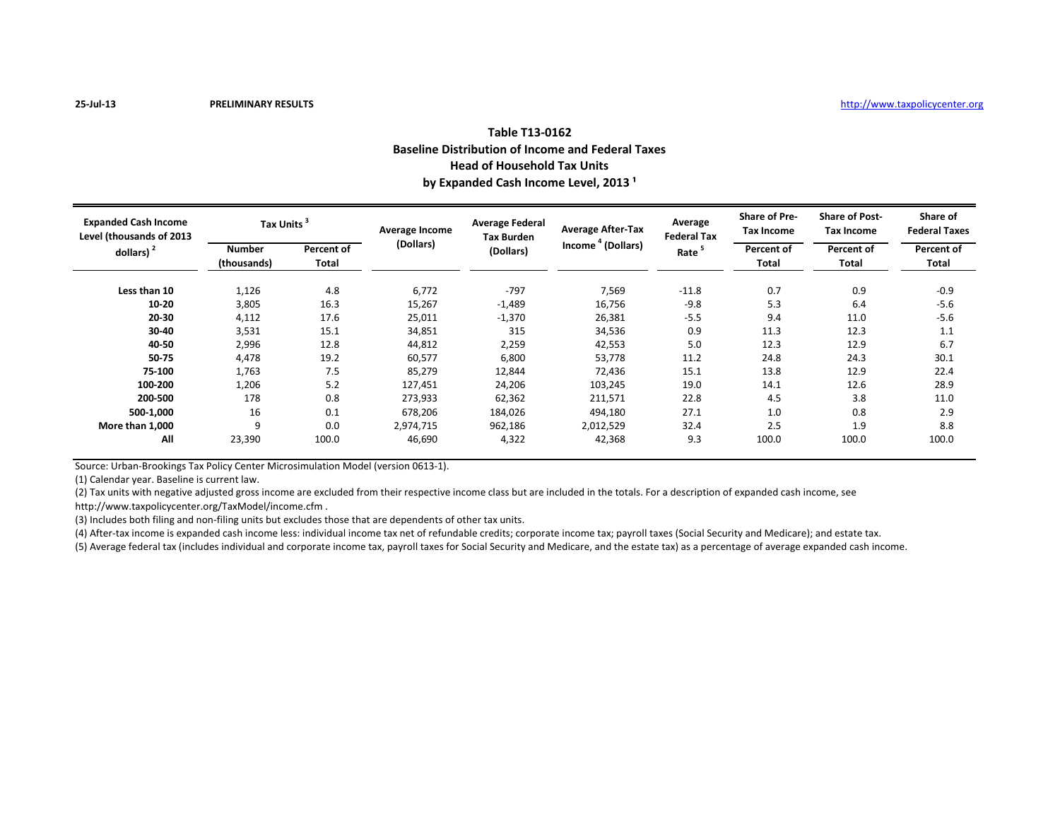## **Table T13-0162 Baseline Distribution of Income and Federal Taxes Head of Household Tax Units** by Expanded Cash Income Level, 2013<sup>1</sup>

| <b>Expanded Cash Income</b><br>Level (thousands of 2013<br>dollars) $2$ | Tax Units                    |                     | Average Income | <b>Average Federal</b><br><b>Tax Burden</b> | <b>Average After-Tax</b>      | Average<br><b>Federal Tax</b> | <b>Share of Pre-</b><br><b>Tax Income</b> | <b>Share of Post-</b><br><b>Tax Income</b> | Share of<br><b>Federal Taxes</b> |
|-------------------------------------------------------------------------|------------------------------|---------------------|----------------|---------------------------------------------|-------------------------------|-------------------------------|-------------------------------------------|--------------------------------------------|----------------------------------|
|                                                                         | <b>Number</b><br>(thousands) | Percent of<br>Total | (Dollars)      | (Dollars)                                   | Income <sup>4</sup> (Dollars) | Rate <sup>5</sup>             | Percent of<br>Total                       | Percent of<br>Total                        | Percent of<br>Total              |
| Less than 10                                                            | 1,126                        | 4.8                 | 6,772          | $-797$                                      | 7,569                         | $-11.8$                       | 0.7                                       | 0.9                                        | $-0.9$                           |
| $10 - 20$                                                               | 3,805                        | 16.3                | 15,267         | $-1,489$                                    | 16,756                        | $-9.8$                        | 5.3                                       | 6.4                                        | $-5.6$                           |
| 20-30                                                                   | 4,112                        | 17.6                | 25,011         | $-1,370$                                    | 26,381                        | $-5.5$                        | 9.4                                       | 11.0                                       | $-5.6$                           |
| 30-40                                                                   | 3,531                        | 15.1                | 34,851         | 315                                         | 34,536                        | 0.9                           | 11.3                                      | 12.3                                       | 1.1                              |
| 40-50                                                                   | 2,996                        | 12.8                | 44,812         | 2,259                                       | 42,553                        | 5.0                           | 12.3                                      | 12.9                                       | 6.7                              |
| 50-75                                                                   | 4,478                        | 19.2                | 60,577         | 6,800                                       | 53,778                        | 11.2                          | 24.8                                      | 24.3                                       | 30.1                             |
| 75-100                                                                  | 1,763                        | 7.5                 | 85,279         | 12,844                                      | 72,436                        | 15.1                          | 13.8                                      | 12.9                                       | 22.4                             |
| 100-200                                                                 | 1,206                        | 5.2                 | 127,451        | 24,206                                      | 103,245                       | 19.0                          | 14.1                                      | 12.6                                       | 28.9                             |
| 200-500                                                                 | 178                          | 0.8                 | 273,933        | 62,362                                      | 211,571                       | 22.8                          | 4.5                                       | 3.8                                        | 11.0                             |
| 500-1,000                                                               | 16                           | 0.1                 | 678,206        | 184,026                                     | 494,180                       | 27.1                          | 1.0                                       | 0.8                                        | 2.9                              |
| More than 1,000                                                         | 9                            | 0.0                 | 2,974,715      | 962,186                                     | 2,012,529                     | 32.4                          | 2.5                                       | 1.9                                        | 8.8                              |
| All                                                                     | 23,390                       | 100.0               | 46,690         | 4,322                                       | 42,368                        | 9.3                           | 100.0                                     | 100.0                                      | 100.0                            |

Source: Urban-Brookings Tax Policy Center Microsimulation Model (version 0613-1).

(1) Calendar year. Baseline is current law.

(2) Tax units with negative adjusted gross income are excluded from their respective income class but are included in the totals. For a description of expanded cash income, see http://www.taxpolicycenter.org/TaxModel/income.cfm .

(3) Includes both filing and non-filing units but excludes those that are dependents of other tax units.

(4) After-tax income is expanded cash income less: individual income tax net of refundable credits; corporate income tax; payroll taxes (Social Security and Medicare); and estate tax.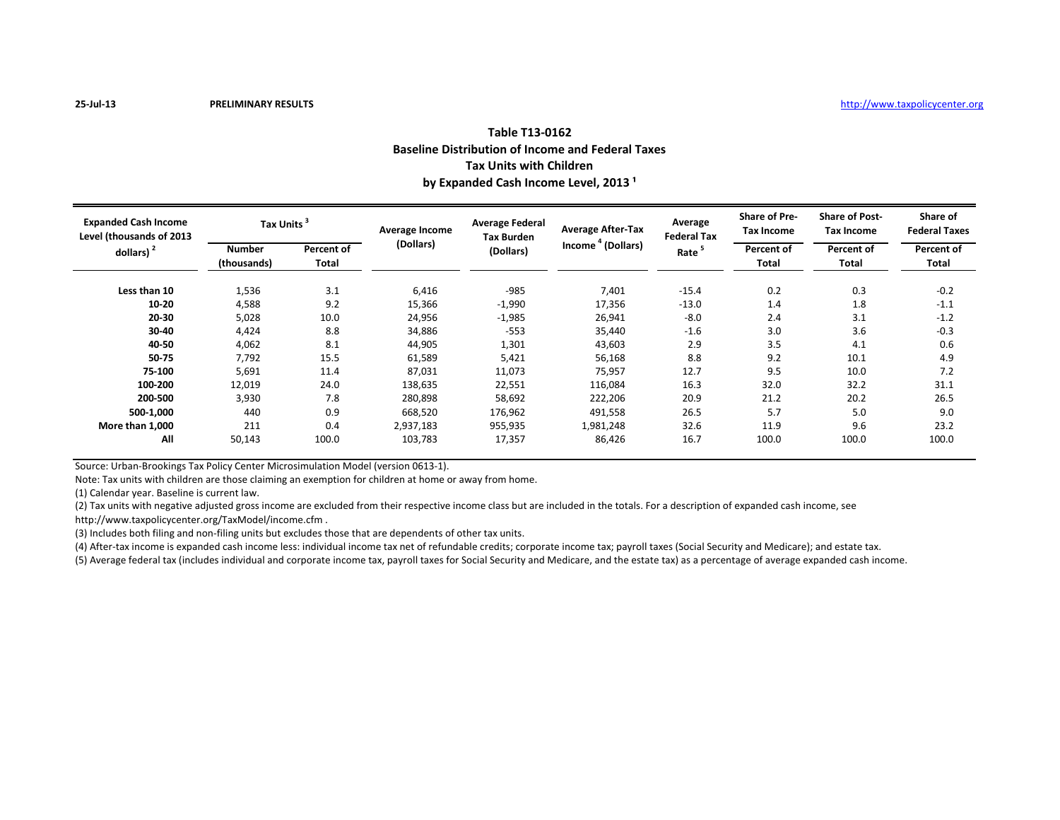## **Table T13-0162 Baseline Distribution of Income and Federal Taxes Tax Units with Children** by Expanded Cash Income Level, 2013<sup>1</sup>

| <b>Expanded Cash Income</b><br>Level (thousands of 2013<br>dollars) $2$ | <b>Tax Units</b>             |                     | Average Income | <b>Average Federal</b><br><b>Tax Burden</b> | <b>Average After-Tax</b>      | Average<br><b>Federal Tax</b> | <b>Share of Pre-</b><br>Tax Income | <b>Share of Post-</b><br><b>Tax Income</b> | Share of<br><b>Federal Taxes</b> |
|-------------------------------------------------------------------------|------------------------------|---------------------|----------------|---------------------------------------------|-------------------------------|-------------------------------|------------------------------------|--------------------------------------------|----------------------------------|
|                                                                         | <b>Number</b><br>(thousands) | Percent of<br>Total | (Dollars)      | (Dollars)                                   | Income <sup>4</sup> (Dollars) | Rate <sup>5</sup>             | Percent of<br>Total                | Percent of<br>Total                        | Percent of<br>Total              |
| Less than 10                                                            | 1,536                        | 3.1                 | 6,416          | $-985$                                      | 7,401                         | $-15.4$                       | 0.2                                | 0.3                                        | $-0.2$                           |
| 10-20                                                                   | 4,588                        | 9.2                 | 15,366         | $-1,990$                                    | 17,356                        | $-13.0$                       | 1.4                                | 1.8                                        | $-1.1$                           |
| 20-30                                                                   | 5,028                        | 10.0                | 24,956         | $-1,985$                                    | 26,941                        | $-8.0$                        | 2.4                                | 3.1                                        | $-1.2$                           |
| 30-40                                                                   | 4,424                        | 8.8                 | 34,886         | $-553$                                      | 35,440                        | $-1.6$                        | 3.0                                | 3.6                                        | $-0.3$                           |
| 40-50                                                                   | 4,062                        | 8.1                 | 44,905         | 1,301                                       | 43,603                        | 2.9                           | 3.5                                | 4.1                                        | 0.6                              |
| 50-75                                                                   | 7,792                        | 15.5                | 61,589         | 5,421                                       | 56,168                        | 8.8                           | 9.2                                | 10.1                                       | 4.9                              |
| 75-100                                                                  | 5,691                        | 11.4                | 87,031         | 11,073                                      | 75,957                        | 12.7                          | 9.5                                | 10.0                                       | 7.2                              |
| 100-200                                                                 | 12,019                       | 24.0                | 138,635        | 22,551                                      | 116,084                       | 16.3                          | 32.0                               | 32.2                                       | 31.1                             |
| 200-500                                                                 | 3,930                        | 7.8                 | 280,898        | 58,692                                      | 222,206                       | 20.9                          | 21.2                               | 20.2                                       | 26.5                             |
| 500-1.000                                                               | 440                          | 0.9                 | 668,520        | 176,962                                     | 491,558                       | 26.5                          | 5.7                                | 5.0                                        | 9.0                              |
| More than 1,000                                                         | 211                          | 0.4                 | 2,937,183      | 955,935                                     | 1,981,248                     | 32.6                          | 11.9                               | 9.6                                        | 23.2                             |
| All                                                                     | 50,143                       | 100.0               | 103,783        | 17,357                                      | 86,426                        | 16.7                          | 100.0                              | 100.0                                      | 100.0                            |

Source: Urban-Brookings Tax Policy Center Microsimulation Model (version 0613-1).

Note: Tax units with children are those claiming an exemption for children at home or away from home.

(1) Calendar year. Baseline is current law.

(2) Tax units with negative adjusted gross income are excluded from their respective income class but are included in the totals. For a description of expanded cash income, see

http://www.taxpolicycenter.org/TaxModel/income.cfm .

(3) Includes both filing and non-filing units but excludes those that are dependents of other tax units.

(4) After-tax income is expanded cash income less: individual income tax net of refundable credits; corporate income tax; payroll taxes (Social Security and Medicare); and estate tax.